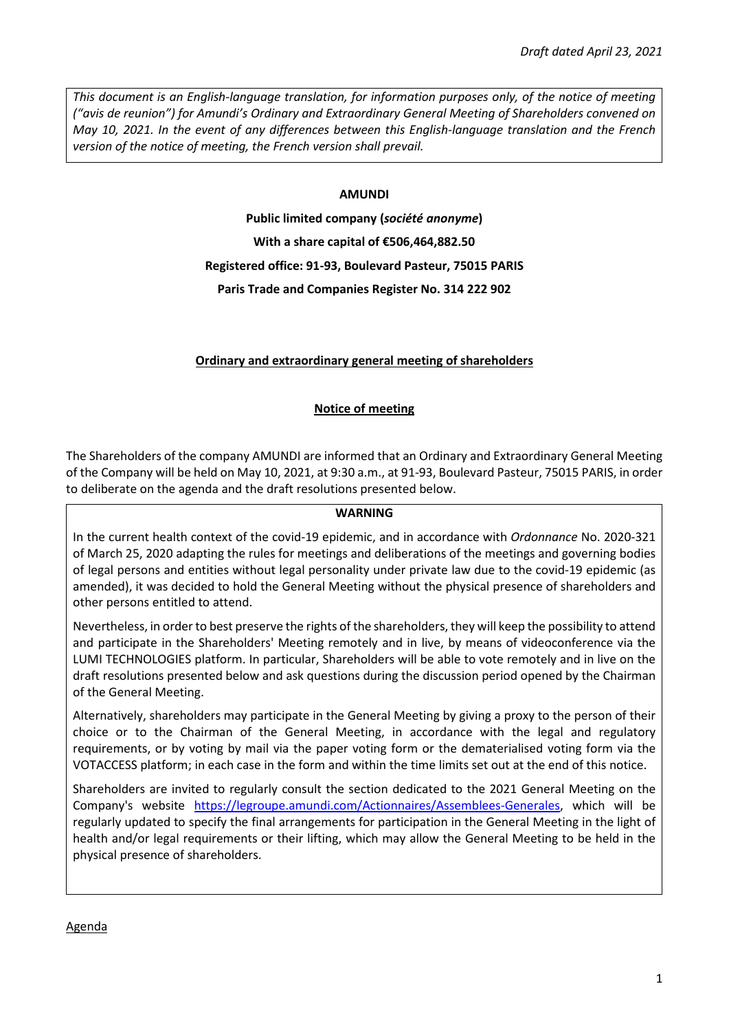*This document is an English-language translation, for information purposes only, of the notice of meeting ("avis de reunion") for Amundi's Ordinary and Extraordinary General Meeting of Shareholders convened on May 10, 2021. In the event of any differences between this English-language translation and the French version of the notice of meeting, the French version shall prevail.* 

## **AMUNDI**

**Public limited company (***société anonyme***) With a share capital of €506,464,882.50 Registered office: 91-93, Boulevard Pasteur, 75015 PARIS Paris Trade and Companies Register No. 314 222 902** 

# **Ordinary and extraordinary general meeting of shareholders**

# **Notice of meeting**

The Shareholders of the company AMUNDI are informed that an Ordinary and Extraordinary General Meeting of the Company will be held on May 10, 2021, at 9:30 a.m., at 91-93, Boulevard Pasteur, 75015 PARIS, in order to deliberate on the agenda and the draft resolutions presented below.

### **WARNING**

In the current health context of the covid-19 epidemic, and in accordance with *Ordonnance* No. 2020-321 of March 25, 2020 adapting the rules for meetings and deliberations of the meetings and governing bodies of legal persons and entities without legal personality under private law due to the covid-19 epidemic (as amended), it was decided to hold the General Meeting without the physical presence of shareholders and other persons entitled to attend.

Nevertheless, in order to best preserve the rights of the shareholders, they will keep the possibility to attend and participate in the Shareholders' Meeting remotely and in live, by means of videoconference via the LUMI TECHNOLOGIES platform. In particular, Shareholders will be able to vote remotely and in live on the draft resolutions presented below and ask questions during the discussion period opened by the Chairman of the General Meeting.

Alternatively, shareholders may participate in the General Meeting by giving a proxy to the person of their choice or to the Chairman of the General Meeting, in accordance with the legal and regulatory requirements, or by voting by mail via the paper voting form or the dematerialised voting form via the VOTACCESS platform; in each case in the form and within the time limits set out at the end of this notice.

Shareholders are invited to regularly consult the section dedicated to the 2021 General Meeting on the Company's website [https://legroupe.amundi.com/Actionnaires/Assemblees-Generales,](https://legroupe.amundi.com/Actionnaires/Assemblees-Generales) which will be regularly updated to specify the final arrangements for participation in the General Meeting in the light of health and/or legal requirements or their lifting, which may allow the General Meeting to be held in the physical presence of shareholders.

Agenda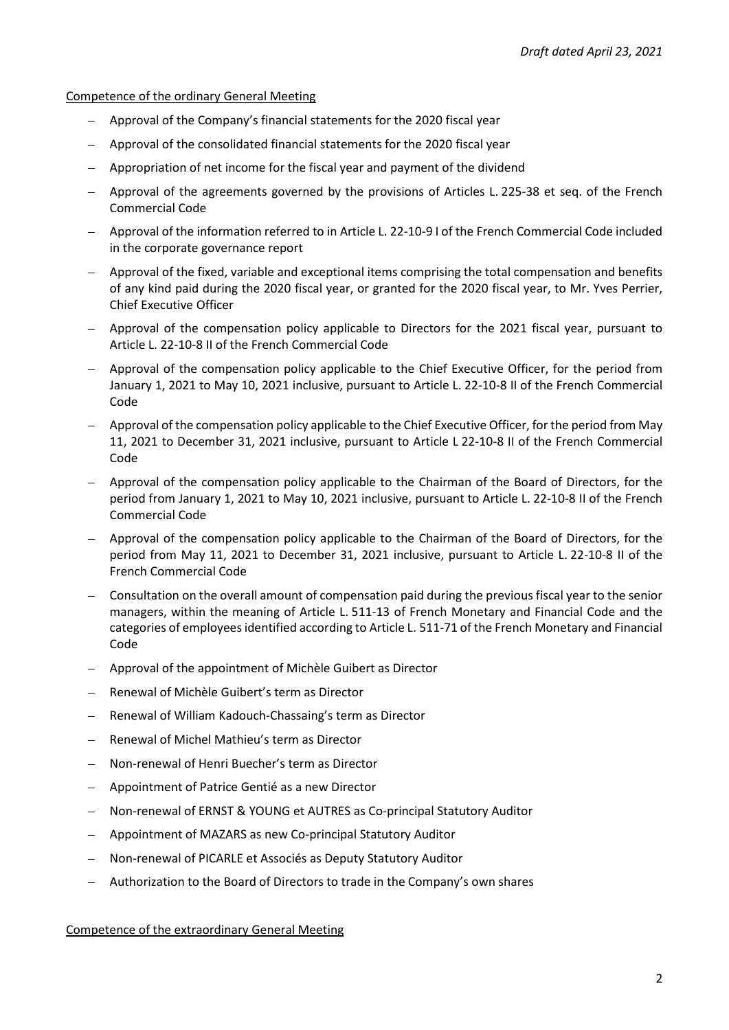Competence of the ordinary General Meeting

- Approval of the Company's financial statements for the 2020 fiscal year
- Approval of the consolidated financial statements for the 2020 fiscal year
- Appropriation of net income for the fiscal year and payment of the dividend
- Approval of the agreements governed by the provisions of Articles L. 225-38 et seq. of the French Commercial Code
- Approval of the information referred to in Article L. 22-10-9 I of the French Commercial Code included in the corporate governance report
- Approval of the fixed, variable and exceptional items comprising the total compensation and benefits of any kind paid during the 2020 fiscal year, or granted for the 2020 fiscal year, to Mr. Yves Perrier, Chief Executive Officer
- Approval of the compensation policy applicable to Directors for the 2021 fiscal year, pursuant to Article L. 22-10-8 II of the French Commercial Code
- Approval of the compensation policy applicable to the Chief Executive Officer, for the period from January 1, 2021 to May 10, 2021 inclusive, pursuant to Article L. 22-10-8 II of the French Commercial Code
- Approval of the compensation policy applicable to the Chief Executive Officer, for the period from May 11, 2021 to December 31, 2021 inclusive, pursuant to Article L 22-10-8 II of the French Commercial Code
- Approval of the compensation policy applicable to the Chairman of the Board of Directors, for the period from January 1, 2021 to May 10, 2021 inclusive, pursuant to Article L. 22-10-8 II of the French Commercial Code
- Approval of the compensation policy applicable to the Chairman of the Board of Directors, for the period from May 11, 2021 to December 31, 2021 inclusive, pursuant to Article L. 22-10-8 II of the French Commercial Code
- Consultation on the overall amount of compensation paid during the previous fiscal year to the senior managers, within the meaning of Article L. 511-13 of French Monetary and Financial Code and the categories of employees identified according to Article L. 511-71 of the French Monetary and Financial Code
- Approval of the appointment of Michèle Guibert as Director
- Renewal of Michèle Guibert's term as Director
- Renewal of William Kadouch-Chassaing's term as Director
- Renewal of Michel Mathieu's term as Director
- Non-renewal of Henri Buecher's term as Director
- Appointment of Patrice Gentié as a new Director
- Non-renewal of ERNST & YOUNG et AUTRES as Co-principal Statutory Auditor
- Appointment of MAZARS as new Co-principal Statutory Auditor
- Non-renewal of PICARLE et Associés as Deputy Statutory Auditor
- Authorization to the Board of Directors to trade in the Company's own shares

Competence of the extraordinary General Meeting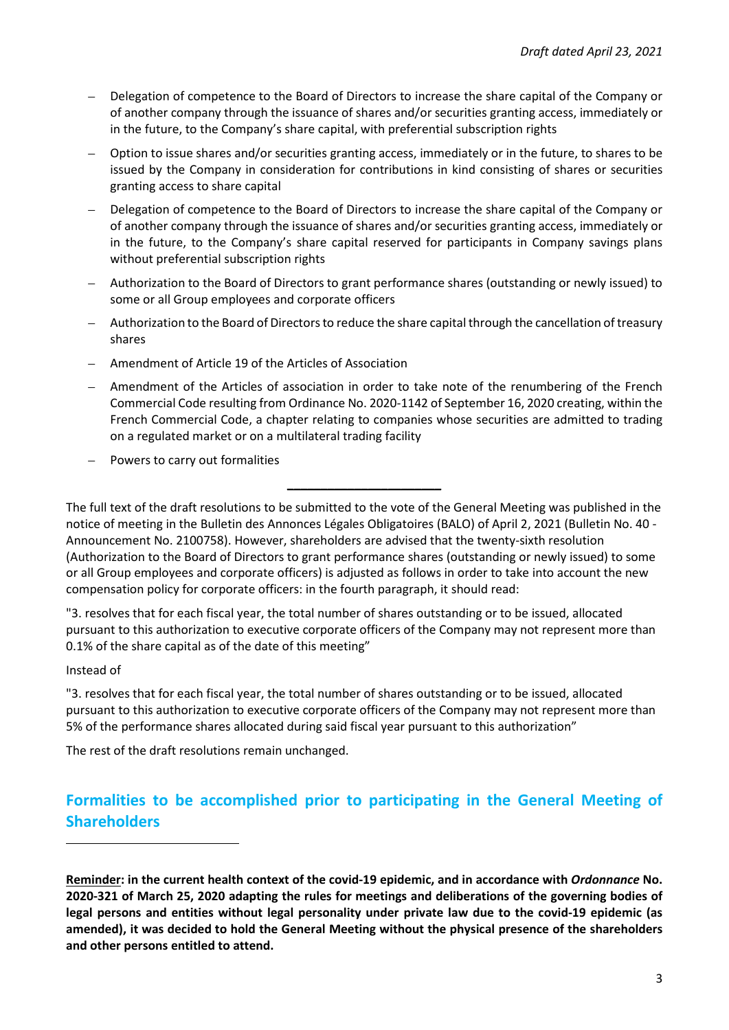- Delegation of competence to the Board of Directors to increase the share capital of the Company or of another company through the issuance of shares and/or securities granting access, immediately or in the future, to the Company's share capital, with preferential subscription rights
- Option to issue shares and/or securities granting access, immediately or in the future, to shares to be issued by the Company in consideration for contributions in kind consisting of shares or securities granting access to share capital
- Delegation of competence to the Board of Directors to increase the share capital of the Company or of another company through the issuance of shares and/or securities granting access, immediately or in the future, to the Company's share capital reserved for participants in Company savings plans without preferential subscription rights
- Authorization to the Board of Directors to grant performance shares (outstanding or newly issued) to some or all Group employees and corporate officers
- Authorization to the Board of Directors to reduce the share capital through the cancellation of treasury shares
- Amendment of Article 19 of the Articles of Association
- Amendment of the Articles of association in order to take note of the renumbering of the French Commercial Code resulting from Ordinance No. 2020-1142 of September 16, 2020 creating, within the French Commercial Code, a chapter relating to companies whose securities are admitted to trading on a regulated market or on a multilateral trading facility
- Powers to carry out formalities

The full text of the draft resolutions to be submitted to the vote of the General Meeting was published in the notice of meeting in the Bulletin des Annonces Légales Obligatoires (BALO) of April 2, 2021 (Bulletin No. 40 - Announcement No. 2100758). However, shareholders are advised that the twenty-sixth resolution (Authorization to the Board of Directors to grant performance shares (outstanding or newly issued) to some or all Group employees and corporate officers) is adjusted as follows in order to take into account the new compensation policy for corporate officers: in the fourth paragraph, it should read:

**\_\_\_\_\_\_\_\_\_\_\_\_\_\_\_\_\_\_\_\_\_\_\_** 

"3. resolves that for each fiscal year, the total number of shares outstanding or to be issued, allocated pursuant to this authorization to executive corporate officers of the Company may not represent more than 0.1% of the share capital as of the date of this meeting"

#### Instead of

"3. resolves that for each fiscal year, the total number of shares outstanding or to be issued, allocated pursuant to this authorization to executive corporate officers of the Company may not represent more than 5% of the performance shares allocated during said fiscal year pursuant to this authorization"

The rest of the draft resolutions remain unchanged.

# **Formalities to be accomplished prior to participating in the General Meeting of Shareholders**

**Reminder: in the current health context of the covid-19 epidemic, and in accordance with** *Ordonnance* **No. 2020-321 of March 25, 2020 adapting the rules for meetings and deliberations of the governing bodies of legal persons and entities without legal personality under private law due to the covid-19 epidemic (as amended), it was decided to hold the General Meeting without the physical presence of the shareholders and other persons entitled to attend.**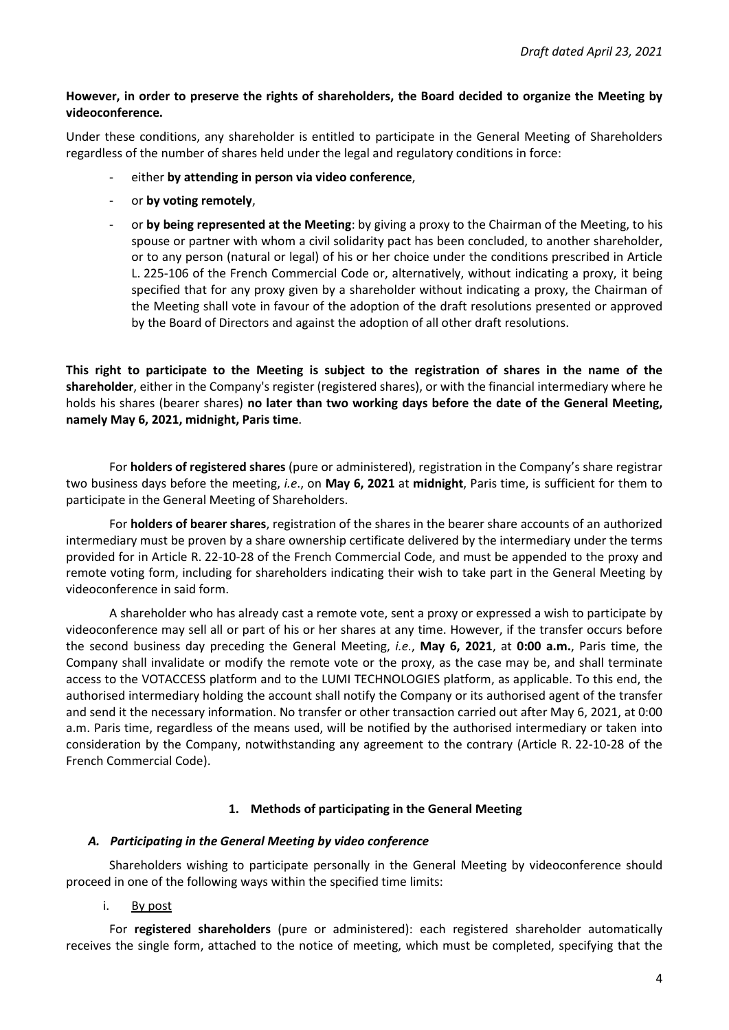# **However, in order to preserve the rights of shareholders, the Board decided to organize the Meeting by videoconference.**

Under these conditions, any shareholder is entitled to participate in the General Meeting of Shareholders regardless of the number of shares held under the legal and regulatory conditions in force:

- either **by attending in person via video conference**,
- or **by voting remotely**,
- or **by being represented at the Meeting**: by giving a proxy to the Chairman of the Meeting, to his spouse or partner with whom a civil solidarity pact has been concluded, to another shareholder, or to any person (natural or legal) of his or her choice under the conditions prescribed in Article L. 225-106 of the French Commercial Code or, alternatively, without indicating a proxy, it being specified that for any proxy given by a shareholder without indicating a proxy, the Chairman of the Meeting shall vote in favour of the adoption of the draft resolutions presented or approved by the Board of Directors and against the adoption of all other draft resolutions.

**This right to participate to the Meeting is subject to the registration of shares in the name of the shareholder**, either in the Company's register (registered shares), or with the financial intermediary where he holds his shares (bearer shares) **no later than two working days before the date of the General Meeting, namely May 6, 2021, midnight, Paris time**.

For **holders of registered shares** (pure or administered), registration in the Company's share registrar two business days before the meeting, *i.e*., on **May 6, 2021** at **midnight**, Paris time, is sufficient for them to participate in the General Meeting of Shareholders.

For **holders of bearer shares**, registration of the shares in the bearer share accounts of an authorized intermediary must be proven by a share ownership certificate delivered by the intermediary under the terms provided for in Article R. 22-10-28 of the French Commercial Code, and must be appended to the proxy and remote voting form, including for shareholders indicating their wish to take part in the General Meeting by videoconference in said form.

A shareholder who has already cast a remote vote, sent a proxy or expressed a wish to participate by videoconference may sell all or part of his or her shares at any time. However, if the transfer occurs before the second business day preceding the General Meeting, *i.e.*, **May 6, 2021**, at **0:00 a.m.**, Paris time, the Company shall invalidate or modify the remote vote or the proxy, as the case may be, and shall terminate access to the VOTACCESS platform and to the LUMI TECHNOLOGIES platform, as applicable. To this end, the authorised intermediary holding the account shall notify the Company or its authorised agent of the transfer and send it the necessary information. No transfer or other transaction carried out after May 6, 2021, at 0:00 a.m. Paris time, regardless of the means used, will be notified by the authorised intermediary or taken into consideration by the Company, notwithstanding any agreement to the contrary (Article R. 22-10-28 of the French Commercial Code).

# **1. Methods of participating in the General Meeting**

# *A. Participating in the General Meeting by video conference*

Shareholders wishing to participate personally in the General Meeting by videoconference should proceed in one of the following ways within the specified time limits:

i. By post

For **registered shareholders** (pure or administered): each registered shareholder automatically receives the single form, attached to the notice of meeting, which must be completed, specifying that the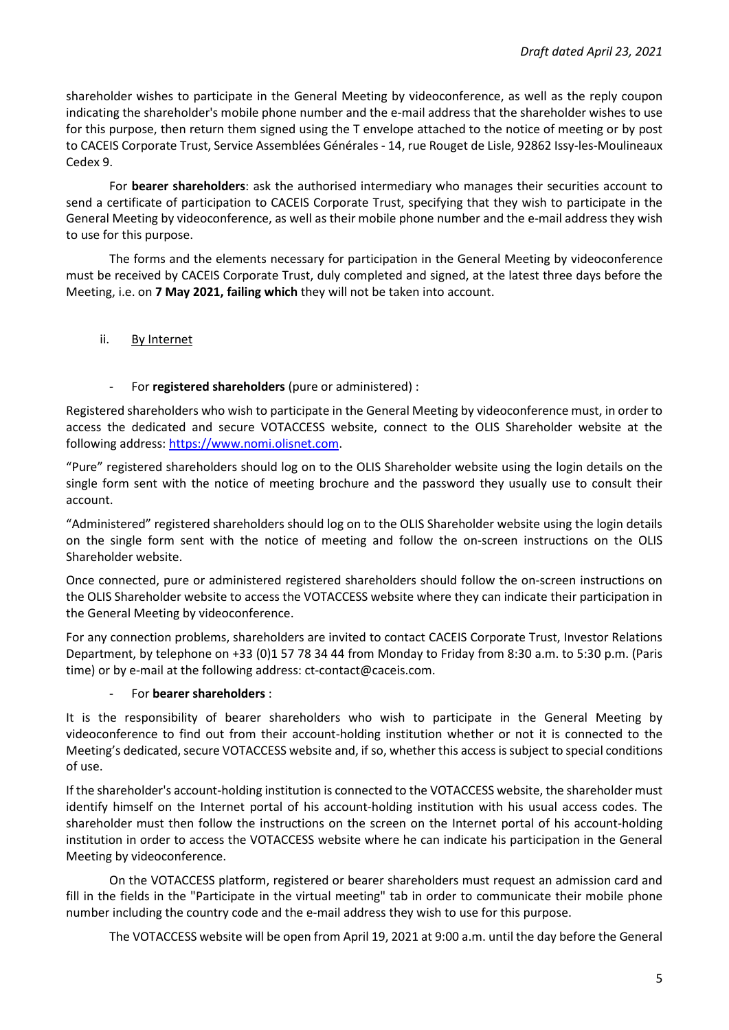shareholder wishes to participate in the General Meeting by videoconference, as well as the reply coupon indicating the shareholder's mobile phone number and the e-mail address that the shareholder wishes to use for this purpose, then return them signed using the T envelope attached to the notice of meeting or by post to CACEIS Corporate Trust, Service Assemblées Générales - 14, rue Rouget de Lisle, 92862 Issy-les-Moulineaux Cedex 9.

For **bearer shareholders**: ask the authorised intermediary who manages their securities account to send a certificate of participation to CACEIS Corporate Trust, specifying that they wish to participate in the General Meeting by videoconference, as well as their mobile phone number and the e-mail address they wish to use for this purpose.

The forms and the elements necessary for participation in the General Meeting by videoconference must be received by CACEIS Corporate Trust, duly completed and signed, at the latest three days before the Meeting, i.e. on **7 May 2021, failing which** they will not be taken into account.

ii. By Internet

## - For **registered shareholders** (pure or administered) :

Registered shareholders who wish to participate in the General Meeting by videoconference must, in order to access the dedicated and secure VOTACCESS website, connect to the OLIS Shareholder website at the following address: [https://www.nomi.olisnet.com.](https://www.nomi.olisnet.com/)

"Pure" registered shareholders should log on to the OLIS Shareholder website using the login details on the single form sent with the notice of meeting brochure and the password they usually use to consult their account.

"Administered" registered shareholders should log on to the OLIS Shareholder website using the login details on the single form sent with the notice of meeting and follow the on-screen instructions on the OLIS Shareholder website.

Once connected, pure or administered registered shareholders should follow the on-screen instructions on the OLIS Shareholder website to access the VOTACCESS website where they can indicate their participation in the General Meeting by videoconference.

For any connection problems, shareholders are invited to contact CACEIS Corporate Trust, Investor Relations Department, by telephone on +33 (0)1 57 78 34 44 from Monday to Friday from 8:30 a.m. to 5:30 p.m. (Paris time) or by e-mail at the following address: ct-contact@caceis.com.

#### - For **bearer shareholders** :

It is the responsibility of bearer shareholders who wish to participate in the General Meeting by videoconference to find out from their account-holding institution whether or not it is connected to the Meeting's dedicated, secure VOTACCESS website and, if so, whether this access is subject to special conditions of use.

If the shareholder's account-holding institution is connected to the VOTACCESS website, the shareholder must identify himself on the Internet portal of his account-holding institution with his usual access codes. The shareholder must then follow the instructions on the screen on the Internet portal of his account-holding institution in order to access the VOTACCESS website where he can indicate his participation in the General Meeting by videoconference.

On the VOTACCESS platform, registered or bearer shareholders must request an admission card and fill in the fields in the "Participate in the virtual meeting" tab in order to communicate their mobile phone number including the country code and the e-mail address they wish to use for this purpose.

The VOTACCESS website will be open from April 19, 2021 at 9:00 a.m. until the day before the General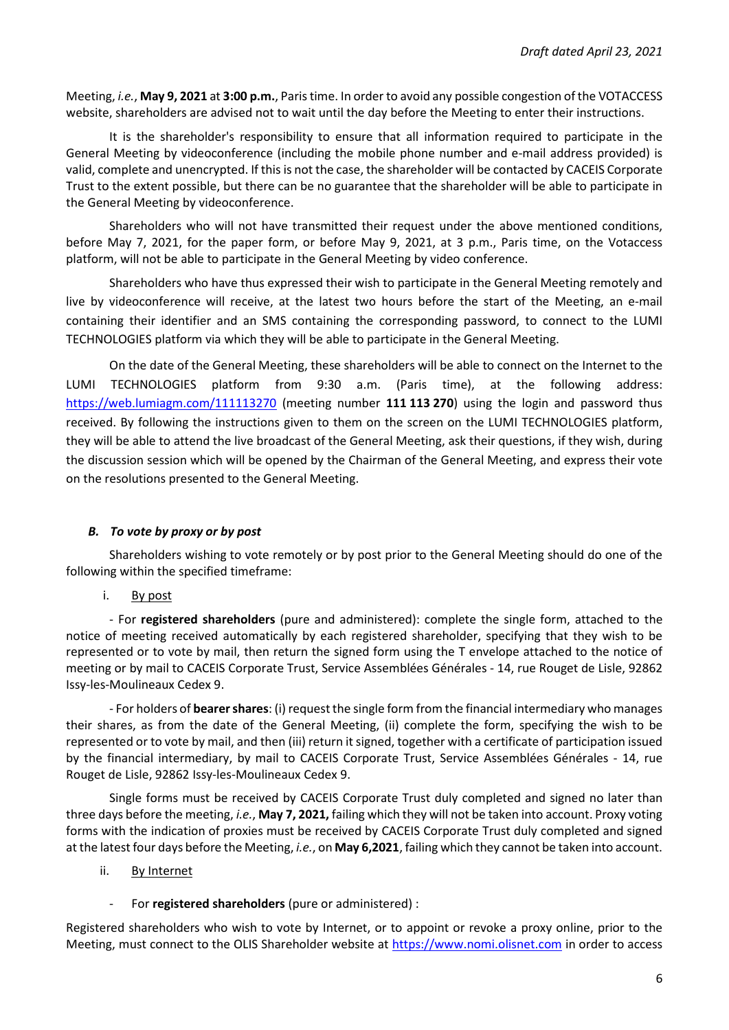Meeting, *i.e.*, **May 9, 2021** at **3:00 p.m.**, Paris time. In order to avoid any possible congestion of the VOTACCESS website, shareholders are advised not to wait until the day before the Meeting to enter their instructions.

It is the shareholder's responsibility to ensure that all information required to participate in the General Meeting by videoconference (including the mobile phone number and e-mail address provided) is valid, complete and unencrypted. If this is not the case, the shareholder will be contacted by CACEIS Corporate Trust to the extent possible, but there can be no guarantee that the shareholder will be able to participate in the General Meeting by videoconference.

Shareholders who will not have transmitted their request under the above mentioned conditions, before May 7, 2021, for the paper form, or before May 9, 2021, at 3 p.m., Paris time, on the Votaccess platform, will not be able to participate in the General Meeting by video conference.

Shareholders who have thus expressed their wish to participate in the General Meeting remotely and live by videoconference will receive, at the latest two hours before the start of the Meeting, an e-mail containing their identifier and an SMS containing the corresponding password, to connect to the LUMI TECHNOLOGIES platform via which they will be able to participate in the General Meeting.

On the date of the General Meeting, these shareholders will be able to connect on the Internet to the LUMI TECHNOLOGIES platform from 9:30 a.m. (Paris time), at the following address: <https://web.lumiagm.com/111113270>(meeting number **111 113 270**) using the login and password thus received. By following the instructions given to them on the screen on the LUMI TECHNOLOGIES platform, they will be able to attend the live broadcast of the General Meeting, ask their questions, if they wish, during the discussion session which will be opened by the Chairman of the General Meeting, and express their vote on the resolutions presented to the General Meeting.

# *B. To vote by proxy or by post*

Shareholders wishing to vote remotely or by post prior to the General Meeting should do one of the following within the specified timeframe:

i. By post

- For **registered shareholders** (pure and administered): complete the single form, attached to the notice of meeting received automatically by each registered shareholder, specifying that they wish to be represented or to vote by mail, then return the signed form using the T envelope attached to the notice of meeting or by mail to CACEIS Corporate Trust, Service Assemblées Générales - 14, rue Rouget de Lisle, 92862 Issy-les-Moulineaux Cedex 9.

- For holders of **bearer shares**: (i) request the single form from the financial intermediary who manages their shares, as from the date of the General Meeting, (ii) complete the form, specifying the wish to be represented or to vote by mail, and then (iii) return it signed, together with a certificate of participation issued by the financial intermediary, by mail to CACEIS Corporate Trust, Service Assemblées Générales - 14, rue Rouget de Lisle, 92862 Issy-les-Moulineaux Cedex 9.

Single forms must be received by CACEIS Corporate Trust duly completed and signed no later than three days before the meeting, *i.e.*, **May 7, 2021,** failing which they will not be taken into account. Proxy voting forms with the indication of proxies must be received by CACEIS Corporate Trust duly completed and signed at the latest four days before the Meeting, *i.e.*, on **May 6,2021**, failing which they cannot be taken into account.

- ii. By Internet
	- For **registered shareholders** (pure or administered) :

Registered shareholders who wish to vote by Internet, or to appoint or revoke a proxy online, prior to the Meeting, must connect to the OLIS Shareholder website at [https://www.nomi.olisnet.com](https://www.nomi.olisnet.com/) in order to access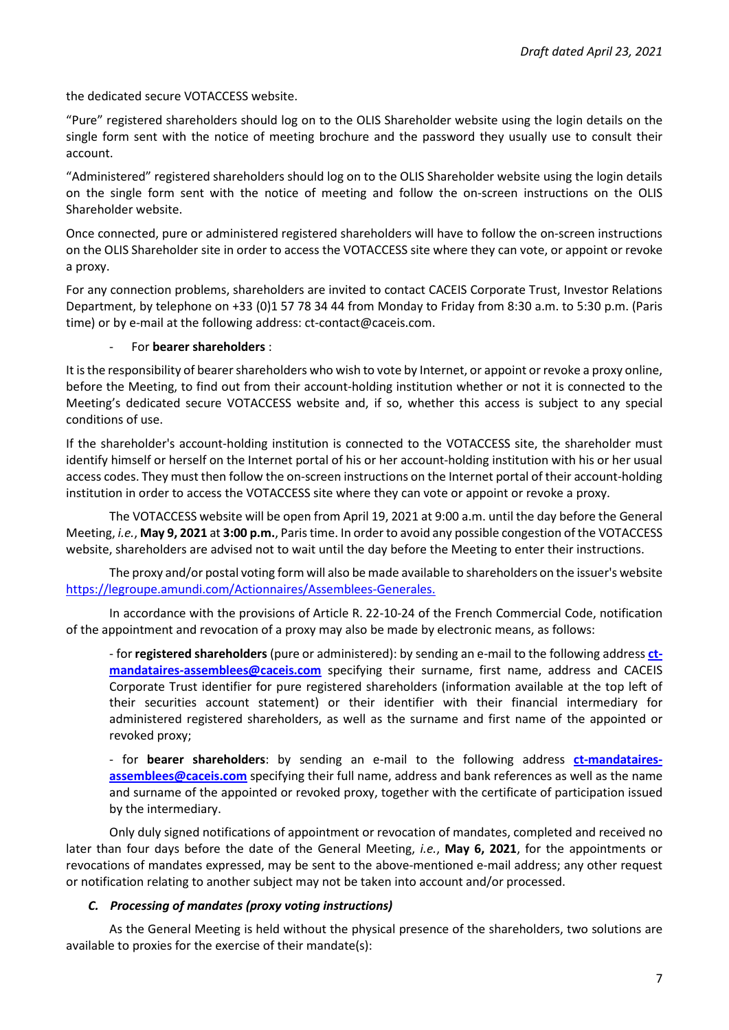the dedicated secure VOTACCESS website.

"Pure" registered shareholders should log on to the OLIS Shareholder website using the login details on the single form sent with the notice of meeting brochure and the password they usually use to consult their account.

"Administered" registered shareholders should log on to the OLIS Shareholder website using the login details on the single form sent with the notice of meeting and follow the on-screen instructions on the OLIS Shareholder website.

Once connected, pure or administered registered shareholders will have to follow the on-screen instructions on the OLIS Shareholder site in order to access the VOTACCESS site where they can vote, or appoint or revoke a proxy.

For any connection problems, shareholders are invited to contact CACEIS Corporate Trust, Investor Relations Department, by telephone on +33 (0)1 57 78 34 44 from Monday to Friday from 8:30 a.m. to 5:30 p.m. (Paris time) or by e-mail at the following address: ct-contact@caceis.com.

## - For **bearer shareholders** :

It is the responsibility of bearer shareholders who wish to vote by Internet, or appoint or revoke a proxy online, before the Meeting, to find out from their account-holding institution whether or not it is connected to the Meeting's dedicated secure VOTACCESS website and, if so, whether this access is subject to any special conditions of use.

If the shareholder's account-holding institution is connected to the VOTACCESS site, the shareholder must identify himself or herself on the Internet portal of his or her account-holding institution with his or her usual access codes. They must then follow the on-screen instructions on the Internet portal of their account-holding institution in order to access the VOTACCESS site where they can vote or appoint or revoke a proxy.

The VOTACCESS website will be open from April 19, 2021 at 9:00 a.m. until the day before the General Meeting, *i.e.*, **May 9, 2021** at **3:00 p.m.**, Paris time. In order to avoid any possible congestion of the VOTACCESS website, shareholders are advised not to wait until the day before the Meeting to enter their instructions.

The proxy and/or postal voting form will also be made available to shareholders on the issuer's website https://legroupe.amundi.com/Actionnaires/Assemblees-Generales.

In accordance with the provisions of Article R. 22-10-24 of the French Commercial Code, notification of the appointment and revocation of a proxy may also be made by electronic means, as follows:

- for **registered shareholders** (pure or administered): by sending an e-mail to the following address **[ct](mailto:ct-mandataires-assemblees@caceis.com)[mandataires-assemblees@caceis.com](mailto:ct-mandataires-assemblees@caceis.com)** specifying their surname, first name, address and CACEIS Corporate Trust identifier for pure registered shareholders (information available at the top left of their securities account statement) or their identifier with their financial intermediary for administered registered shareholders, as well as the surname and first name of the appointed or revoked proxy;

- for **bearer shareholders**: by sending an e-mail to the following address **[ct-mandataires](mailto:ct-mandataires-assemblees@caceis.com)[assemblees@caceis.com](mailto:ct-mandataires-assemblees@caceis.com)** specifying their full name, address and bank references as well as the name and surname of the appointed or revoked proxy, together with the certificate of participation issued by the intermediary.

Only duly signed notifications of appointment or revocation of mandates, completed and received no later than four days before the date of the General Meeting, *i.e.*, **May 6, 2021**, for the appointments or revocations of mandates expressed, may be sent to the above-mentioned e-mail address; any other request or notification relating to another subject may not be taken into account and/or processed.

# *C. Processing of mandates (proxy voting instructions)*

As the General Meeting is held without the physical presence of the shareholders, two solutions are available to proxies for the exercise of their mandate(s):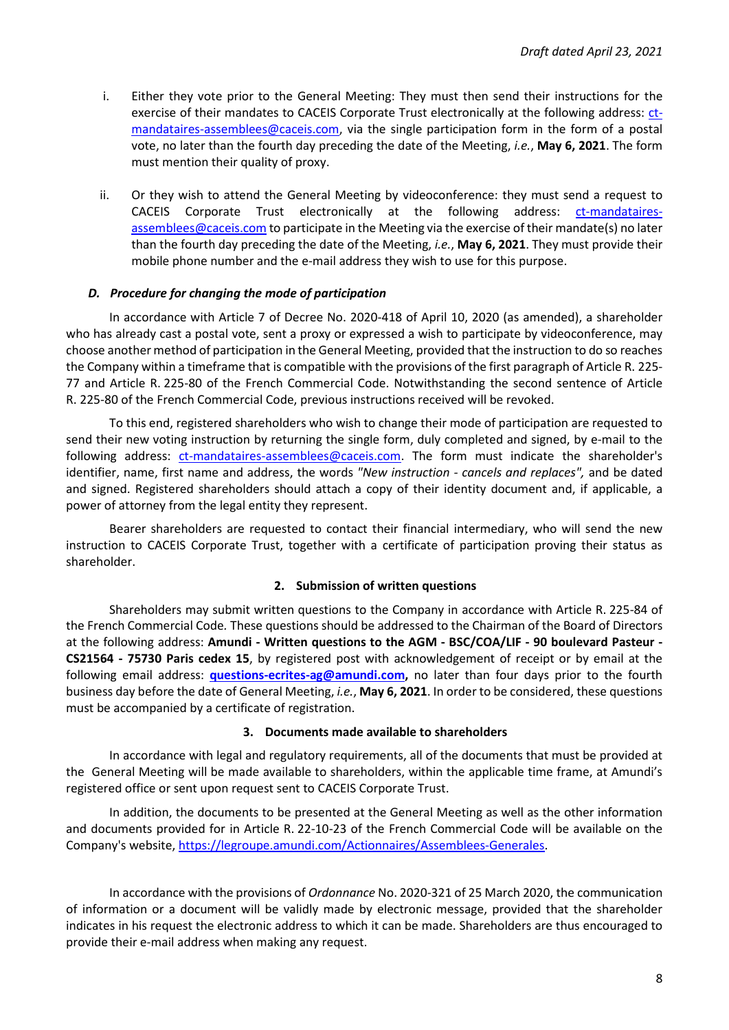- i. Either they vote prior to the General Meeting: They must then send their instructions for the exercise of their mandates to CACEIS Corporate Trust electronically at the following address: [ct](mailto:ct-mandataires-assemblees@caceis.com)[mandataires-assemblees@caceis.com,](mailto:ct-mandataires-assemblees@caceis.com) via the single participation form in the form of a postal vote, no later than the fourth day preceding the date of the Meeting, *i.e.*, **May 6, 2021**. The form must mention their quality of proxy.
- ii. Or they wish to attend the General Meeting by videoconference: they must send a request to CACEIS Corporate Trust electronically at the following address: [ct-mandataires](mailto:ct-mandataires-assemblees@caceis.com)[assemblees@caceis.com t](mailto:ct-mandataires-assemblees@caceis.com)o participate in the Meeting via the exercise of their mandate(s) no later than the fourth day preceding the date of the Meeting, *i.e.*, **May 6, 2021**. They must provide their mobile phone number and the e-mail address they wish to use for this purpose.

#### *D. Procedure for changing the mode of participation*

In accordance with Article 7 of Decree No. 2020-418 of April 10, 2020 (as amended), a shareholder who has already cast a postal vote, sent a proxy or expressed a wish to participate by videoconference, may choose another method of participation in the General Meeting, provided that the instruction to do so reaches the Company within a timeframe that is compatible with the provisions of the first paragraph of Article R. 225- 77 and Article R. 225-80 of the French Commercial Code. Notwithstanding the second sentence of Article R. 225-80 of the French Commercial Code, previous instructions received will be revoked.

To this end, registered shareholders who wish to change their mode of participation are requested to send their new voting instruction by returning the single form, duly completed and signed, by e-mail to the following address: [ct-mandataires-assemblees@caceis.com.](mailto:ct-mandataires-assemblees@caceis.com) The form must indicate the shareholder's identifier, name, first name and address, the words *"New instruction - cancels and replaces",* and be dated and signed. Registered shareholders should attach a copy of their identity document and, if applicable, a power of attorney from the legal entity they represent.

Bearer shareholders are requested to contact their financial intermediary, who will send the new instruction to CACEIS Corporate Trust, together with a certificate of participation proving their status as shareholder.

#### **2. Submission of written questions**

Shareholders may submit written questions to the Company in accordance with Article R. 225-84 of the French Commercial Code*.* These questions should be addressed to the Chairman of the Board of Directors at the following address: **Amundi - Written questions to the AGM - BSC/COA/LIF - 90 boulevard Pasteur - CS21564 - 75730 Paris cedex 15**, by registered post with acknowledgement of receipt or by email at the following email address: **[questions-ecrites-ag@amundi.com,](mailto:questions-ecrites-ag@amundi.com)** no later than four days prior to the fourth business day before the date of General Meeting, *i.e.*, **May 6, 2021**. In order to be considered, these questions must be accompanied by a certificate of registration.

#### **3. Documents made available to shareholders**

In accordance with legal and regulatory requirements, all of the documents that must be provided at the General Meeting will be made available to shareholders, within the applicable time frame, at Amundi's registered office or sent upon request sent to CACEIS Corporate Trust.

In addition, the documents to be presented at the General Meeting as well as the other information and documents provided for in Article R. 22-10-23 of the French Commercial Code will be available on the Company's website, [https://legroupe.amundi.com/Actionnaires/Assemblees-Generales.](https://legroupe.amundi.com/Actionnaires/Assemblees-Generales)

In accordance with the provisions of *Ordonnance* No. 2020-321 of 25 March 2020, the communication of information or a document will be validly made by electronic message, provided that the shareholder indicates in his request the electronic address to which it can be made. Shareholders are thus encouraged to provide their e-mail address when making any request.